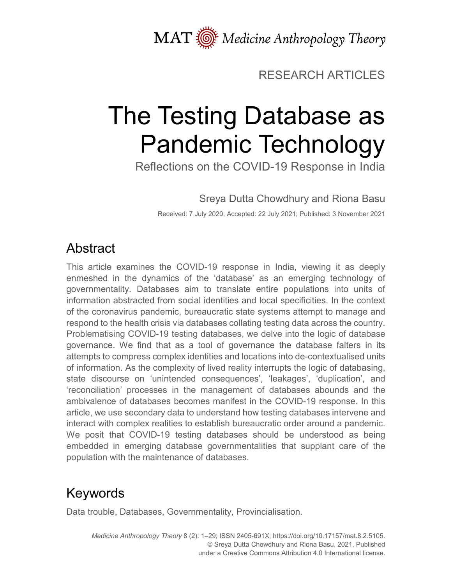MAT  $\overline{\text{M}}$  Medicine Anthropology Theory

## RESEARCH ARTICLES

# The Testing Database as Pandemic Technology

Reflections on the COVID-19 Response in India

Sreya Dutta Chowdhury and Riona Basu

Received: 7 July 2020; Accepted: 22 July 2021; Published: 3 November 2021

# Abstract

This article examines the COVID-19 response in India, viewing it as deeply enmeshed in the dynamics of the 'database' as an emerging technology of governmentality. Databases aim to translate entire populations into units of information abstracted from social identities and local specificities. In the context of the coronavirus pandemic, bureaucratic state systems attempt to manage and respond to the health crisis via databases collating testing data across the country. Problematising COVID-19 testing databases, we delve into the logic of database governance. We find that as a tool of governance the database falters in its attempts to compress complex identities and locations into de-contextualised units of information. As the complexity of lived reality interrupts the logic of databasing, state discourse on 'unintended consequences', 'leakages', 'duplication', and 'reconciliation' processes in the management of databases abounds and the ambivalence of databases becomes manifest in the COVID-19 response. In this article, we use secondary data to understand how testing databases intervene and interact with complex realities to establish bureaucratic order around a pandemic. We posit that COVID-19 testing databases should be understood as being embedded in emerging database governmentalities that supplant care of the population with the maintenance of databases.

# Keywords

Data trouble, Databases, Governmentality, Provincialisation.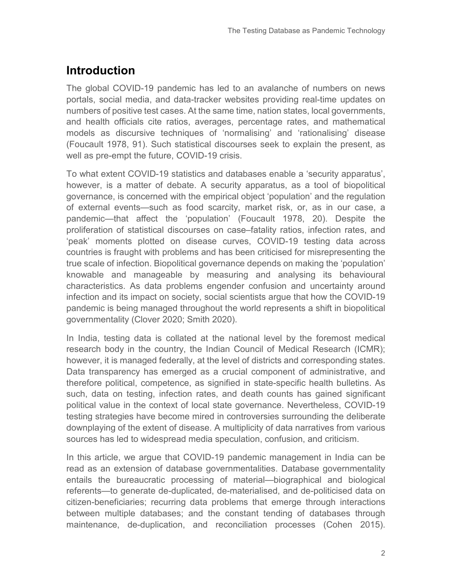## **Introduction**

The global COVID-19 pandemic has led to an avalanche of numbers on news portals, social media, and data-tracker websites providing real-time updates on numbers of positive test cases. At the same time, nation states, local governments, and health officials cite ratios, averages, percentage rates, and mathematical models as discursive techniques of 'normalising' and 'rationalising' disease (Foucault 1978, 91). Such statistical discourses seek to explain the present, as well as pre-empt the future, COVID-19 crisis.

To what extent COVID-19 statistics and databases enable a 'security apparatus', however, is a matter of debate. A security apparatus, as a tool of biopolitical governance, is concerned with the empirical object 'population' and the regulation of external events—such as food scarcity, market risk, or, as in our case, a pandemic—that affect the 'population' (Foucault 1978, 20). Despite the proliferation of statistical discourses on case–fatality ratios, infection rates, and 'peak' moments plotted on disease curves, COVID-19 testing data across countries is fraught with problems and has been criticised for misrepresenting the true scale of infection. Biopolitical governance depends on making the 'population' knowable and manageable by measuring and analysing its behavioural characteristics. As data problems engender confusion and uncertainty around infection and its impact on society, social scientists argue that how the COVID-19 pandemic is being managed throughout the world represents a shift in biopolitical governmentality (Clover 2020; Smith 2020).

In India, testing data is collated at the national level by the foremost medical research body in the country, the Indian Council of Medical Research (ICMR); however, it is managed federally, at the level of districts and corresponding states. Data transparency has emerged as a crucial component of administrative, and therefore political, competence, as signified in state-specific health bulletins. As such, data on testing, infection rates, and death counts has gained significant political value in the context of local state governance. Nevertheless, COVID-19 testing strategies have become mired in controversies surrounding the deliberate downplaying of the extent of disease. A multiplicity of data narratives from various sources has led to widespread media speculation, confusion, and criticism.

In this article, we argue that COVID-19 pandemic management in India can be read as an extension of database governmentalities. Database governmentality entails the bureaucratic processing of material—biographical and biological referents—to generate de-duplicated, de-materialised, and de-politicised data on citizen-beneficiaries; recurring data problems that emerge through interactions between multiple databases; and the constant tending of databases through maintenance, de-duplication, and reconciliation processes (Cohen 2015).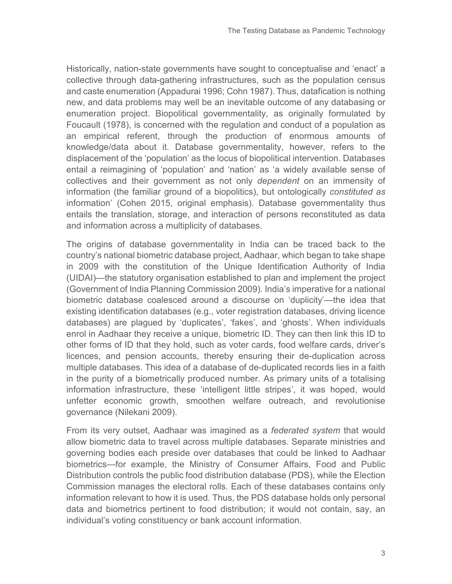Historically, nation-state governments have sought to conceptualise and 'enact' a collective through data-gathering infrastructures, such as the population census and caste enumeration (Appadurai 1996; Cohn 1987). Thus, datafication is nothing new, and data problems may well be an inevitable outcome of any databasing or enumeration project. Biopolitical governmentality, as originally formulated by Foucault (1978), is concerned with the regulation and conduct of a population as an empirical referent, through the production of enormous amounts of knowledge/data about it. Database governmentality, however, refers to the displacement of the 'population' as the locus of biopolitical intervention. Databases entail a reimagining of 'population' and 'nation' as 'a widely available sense of collectives and their government as not only *dependent* on an immensity of information (the familiar ground of a biopolitics), but ontologically *constituted as* information' (Cohen 2015, original emphasis). Database governmentality thus entails the translation, storage, and interaction of persons reconstituted as data and information across a multiplicity of databases.

The origins of database governmentality in India can be traced back to the country's national biometric database project, Aadhaar, which began to take shape in 2009 with the constitution of the Unique Identification Authority of India (UIDAI)—the statutory organisation established to plan and implement the project (Government of India Planning Commission 2009). India's imperative for a national biometric database coalesced around a discourse on 'duplicity'—the idea that existing identification databases (e.g., voter registration databases, driving licence databases) are plagued by 'duplicates', 'fakes', and 'ghosts'. When individuals enrol in Aadhaar they receive a unique, biometric ID. They can then link this ID to other forms of ID that they hold, such as voter cards, food welfare cards, driver's licences, and pension accounts, thereby ensuring their de-duplication across multiple databases. This idea of a database of de-duplicated records lies in a faith in the purity of a biometrically produced number. As primary units of a totalising information infrastructure, these 'intelligent little stripes', it was hoped, would unfetter economic growth, smoothen welfare outreach, and revolutionise governance (Nilekani 2009).

From its very outset, Aadhaar was imagined as a *federated system* that would allow biometric data to travel across multiple databases. Separate ministries and governing bodies each preside over databases that could be linked to Aadhaar biometrics—for example, the Ministry of Consumer Affairs, Food and Public Distribution controls the public food distribution database (PDS), while the Election Commission manages the electoral rolls. Each of these databases contains only information relevant to how it is used. Thus, the PDS database holds only personal data and biometrics pertinent to food distribution; it would not contain, say, an individual's voting constituency or bank account information.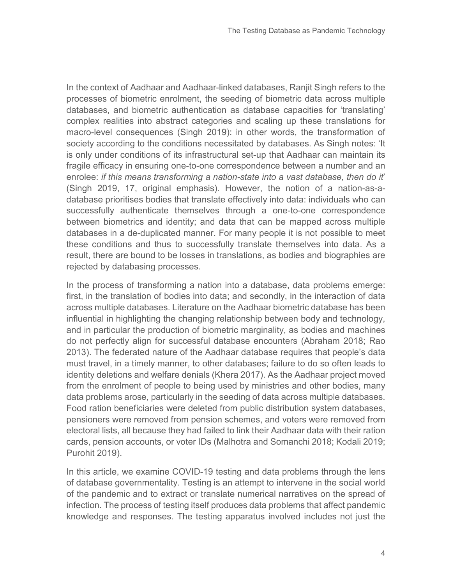In the context of Aadhaar and Aadhaar-linked databases, Ranjit Singh refers to the processes of biometric enrolment, the seeding of biometric data across multiple databases, and biometric authentication as database capacities for 'translating' complex realities into abstract categories and scaling up these translations for macro-level consequences (Singh 2019): in other words, the transformation of society according to the conditions necessitated by databases. As Singh notes: 'It is only under conditions of its infrastructural set-up that Aadhaar can maintain its fragile efficacy in ensuring one-to-one correspondence between a number and an enrolee: *if this means transforming a nation-state into a vast database, then do it*' (Singh 2019, 17, original emphasis). However, the notion of a nation-as-adatabase prioritises bodies that translate effectively into data: individuals who can successfully authenticate themselves through a one-to-one correspondence between biometrics and identity; and data that can be mapped across multiple databases in a de-duplicated manner. For many people it is not possible to meet these conditions and thus to successfully translate themselves into data. As a result, there are bound to be losses in translations, as bodies and biographies are rejected by databasing processes.

In the process of transforming a nation into a database, data problems emerge: first, in the translation of bodies into data; and secondly, in the interaction of data across multiple databases. Literature on the Aadhaar biometric database has been influential in highlighting the changing relationship between body and technology, and in particular the production of biometric marginality, as bodies and machines do not perfectly align for successful database encounters (Abraham 2018; Rao 2013). The federated nature of the Aadhaar database requires that people's data must travel, in a timely manner, to other databases; failure to do so often leads to identity deletions and welfare denials (Khera 2017). As the Aadhaar project moved from the enrolment of people to being used by ministries and other bodies, many data problems arose, particularly in the seeding of data across multiple databases. Food ration beneficiaries were deleted from public distribution system databases, pensioners were removed from pension schemes, and voters were removed from electoral lists, all because they had failed to link their Aadhaar data with their ration cards, pension accounts, or voter IDs (Malhotra and Somanchi 2018; Kodali 2019; Purohit 2019).

In this article, we examine COVID-19 testing and data problems through the lens of database governmentality. Testing is an attempt to intervene in the social world of the pandemic and to extract or translate numerical narratives on the spread of infection. The process of testing itself produces data problems that affect pandemic knowledge and responses. The testing apparatus involved includes not just the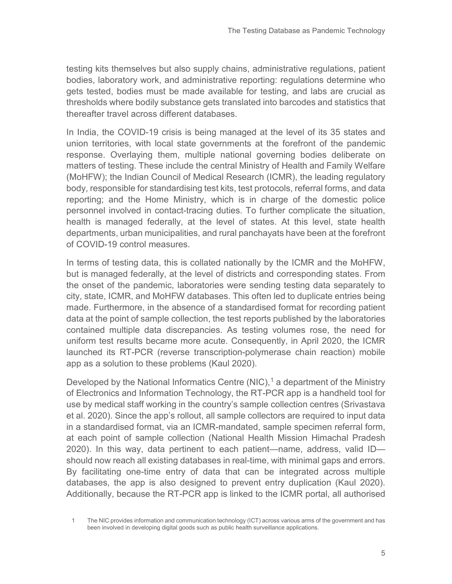testing kits themselves but also supply chains, administrative regulations, patient bodies, laboratory work, and administrative reporting: regulations determine who gets tested, bodies must be made available for testing, and labs are crucial as thresholds where bodily substance gets translated into barcodes and statistics that thereafter travel across different databases.

In India, the COVID-19 crisis is being managed at the level of its 35 states and union territories, with local state governments at the forefront of the pandemic response. Overlaying them, multiple national governing bodies deliberate on matters of testing. These include the central Ministry of Health and Family Welfare (MoHFW); the Indian Council of Medical Research (ICMR), the leading regulatory body, responsible for standardising test kits, test protocols, referral forms, and data reporting; and the Home Ministry, which is in charge of the domestic police personnel involved in contact-tracing duties. To further complicate the situation, health is managed federally, at the level of states. At this level, state health departments, urban municipalities, and rural panchayats have been at the forefront of COVID-19 control measures.

In terms of testing data, this is collated nationally by the ICMR and the MoHFW, but is managed federally, at the level of districts and corresponding states. From the onset of the pandemic, laboratories were sending testing data separately to city, state, ICMR, and MoHFW databases. This often led to duplicate entries being made. Furthermore, in the absence of a standardised format for recording patient data at the point of sample collection, the test reports published by the laboratories contained multiple data discrepancies. As testing volumes rose, the need for uniform test results became more acute. Consequently, in April 2020, the ICMR launched its RT-PCR (reverse transcription-polymerase chain reaction) mobile app as a solution to these problems (Kaul 2020).

Developed by the National Informatics Centre (NIC),<sup>[1](#page-4-0)</sup> a department of the Ministry of Electronics and Information Technology, the RT-PCR app is a handheld tool for use by medical staff working in the country's sample collection centres (Srivastava et al. 2020). Since the app's rollout, all sample collectors are required to input data in a standardised format, via an ICMR-mandated, sample specimen referral form, at each point of sample collection (National Health Mission Himachal Pradesh 2020). In this way, data pertinent to each patient—name, address, valid ID should now reach all existing databases in real-time, with minimal gaps and errors. By facilitating one-time entry of data that can be integrated across multiple databases, the app is also designed to prevent entry duplication (Kaul 2020). Additionally, because the RT-PCR app is linked to the ICMR portal, all authorised

<span id="page-4-0"></span>1 The NIC provides information and communication technology (ICT) across various arms of the government and has been involved in developing digital goods such as public health surveillance applications.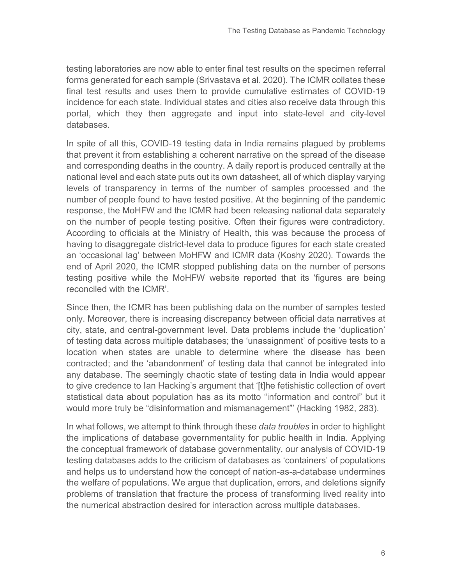testing laboratories are now able to enter final test results on the specimen referral forms generated for each sample (Srivastava et al. 2020). The ICMR collates these final test results and uses them to provide cumulative estimates of COVID-19 incidence for each state. Individual states and cities also receive data through this portal, which they then aggregate and input into state-level and city-level databases.

In spite of all this, COVID-19 testing data in India remains plagued by problems that prevent it from establishing a coherent narrative on the spread of the disease and corresponding deaths in the country. A daily report is produced centrally at the national level and each state puts out its own datasheet, all of which display varying levels of transparency in terms of the number of samples processed and the number of people found to have tested positive. At the beginning of the pandemic response, the MoHFW and the ICMR had been releasing national data separately on the number of people testing positive. Often their figures were contradictory. According to officials at the Ministry of Health, this was because the process of having to disaggregate district-level data to produce figures for each state created an 'occasional lag' between MoHFW and ICMR data (Koshy 2020). Towards the end of April 2020, the ICMR stopped publishing data on the number of persons testing positive while the MoHFW website reported that its 'figures are being reconciled with the ICMR'.

Since then, the ICMR has been publishing data on the number of samples tested only. Moreover, there is increasing discrepancy between official data narratives at city, state, and central-government level. Data problems include the 'duplication' of testing data across multiple databases; the 'unassignment' of positive tests to a location when states are unable to determine where the disease has been contracted; and the 'abandonment' of testing data that cannot be integrated into any database. The seemingly chaotic state of testing data in India would appear to give credence to Ian Hacking's argument that '[t]he fetishistic collection of overt statistical data about population has as its motto "information and control" but it would more truly be "disinformation and mismanagement"' (Hacking 1982, 283).

In what follows, we attempt to think through these *data troubles* in order to highlight the implications of database governmentality for public health in India. Applying the conceptual framework of database governmentality, our analysis of COVID-19 testing databases adds to the criticism of databases as 'containers' of populations and helps us to understand how the concept of nation-as-a-database undermines the welfare of populations. We argue that duplication, errors, and deletions signify problems of translation that fracture the process of transforming lived reality into the numerical abstraction desired for interaction across multiple databases.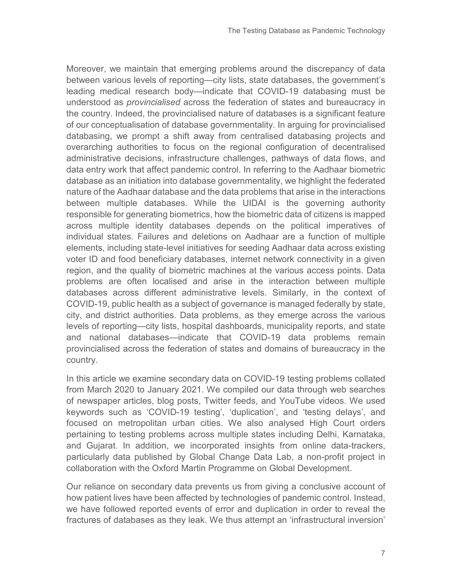Moreover, we maintain that emerging problems around the discrepancy of data between various levels of reporting—city lists, state databases, the government's leading medical research body—indicate that COVID-19 databasing must be understood as *provincialised* across the federation of states and bureaucracy in the country. Indeed, the provincialised nature of databases is a significant feature of our conceptualisation of database governmentality. In arguing for provincialised databasing, we prompt a shift away from centralised databasing projects and overarching authorities to focus on the regional configuration of decentralised administrative decisions, infrastructure challenges, pathways of data flows, and data entry work that affect pandemic control. In referring to the Aadhaar biometric database as an initiation into database governmentality, we highlight the federated nature of the Aadhaar database and the data problems that arise in the interactions between multiple databases. While the UIDAI is the governing authority responsible for generating biometrics, how the biometric data of citizens is mapped across multiple identity databases depends on the political imperatives of individual states. Failures and deletions on Aadhaar are a function of multiple elements, including state-level initiatives for seeding Aadhaar data across existing voter ID and food beneficiary databases, internet network connectivity in a given region, and the quality of biometric machines at the various access points. Data problems are often localised and arise in the interaction between multiple databases across different administrative levels. Similarly, in the context of COVID-19, public health as a subject of governance is managed federally by state, city, and district authorities. Data problems, as they emerge across the various levels of reporting—city lists, hospital dashboards, municipality reports, and state and national databases—indicate that COVID-19 data problems remain provincialised across the federation of states and domains of bureaucracy in the country.

In this article we examine secondary data on COVID-19 testing problems collated from March 2020 to January 2021. We compiled our data through web searches of newspaper articles, blog posts, Twitter feeds, and YouTube videos. We used keywords such as 'COVID-19 testing', 'duplication', and 'testing delays', and focused on metropolitan urban cities. We also analysed High Court orders pertaining to testing problems across multiple states including Delhi, Karnataka, and Gujarat. In addition, we incorporated insights from online data-trackers, particularly data published by Global Change Data Lab, a non-profit project in collaboration with the Oxford Martin Programme on Global Development.

Our reliance on secondary data prevents us from giving a conclusive account of how patient lives have been affected by technologies of pandemic control. Instead, we have followed reported events of error and duplication in order to reveal the fractures of databases as they leak. We thus attempt an 'infrastructural inversion'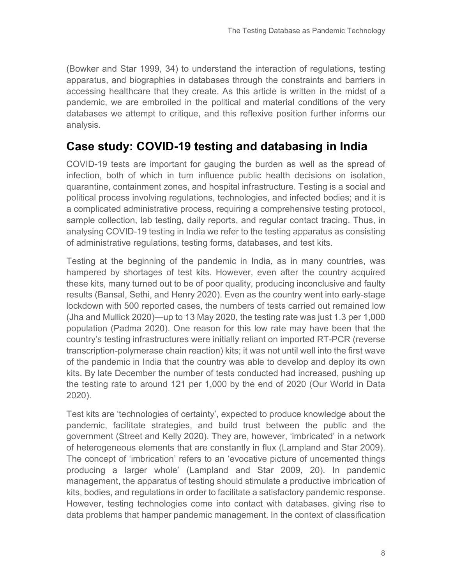(Bowker and Star 1999, 34) to understand the interaction of regulations, testing apparatus, and biographies in databases through the constraints and barriers in accessing healthcare that they create. As this article is written in the midst of a pandemic, we are embroiled in the political and material conditions of the very databases we attempt to critique, and this reflexive position further informs our analysis.

### **Case study: COVID-19 testing and databasing in India**

COVID-19 tests are important for gauging the burden as well as the spread of infection, both of which in turn influence public health decisions on isolation, quarantine, containment zones, and hospital infrastructure. Testing is a social and political process involving regulations, technologies, and infected bodies; and it is a complicated administrative process, requiring a comprehensive testing protocol, sample collection, lab testing, daily reports, and regular contact tracing. Thus, in analysing COVID-19 testing in India we refer to the testing apparatus as consisting of administrative regulations, testing forms, databases, and test kits.

Testing at the beginning of the pandemic in India, as in many countries, was hampered by shortages of test kits. However, even after the country acquired these kits, many turned out to be of poor quality, producing inconclusive and faulty results (Bansal, Sethi, and Henry 2020). Even as the country went into early-stage lockdown with 500 reported cases, the numbers of tests carried out remained low (Jha and Mullick 2020)—up to 13 May 2020, the testing rate was just 1.3 per 1,000 population (Padma 2020). One reason for this low rate may have been that the country's testing infrastructures were initially reliant on imported RT-PCR (reverse transcription-polymerase chain reaction) kits; it was not until well into the first wave of the pandemic in India that the country was able to develop and deploy its own kits. By late December the number of tests conducted had increased, pushing up the testing rate to around 121 per 1,000 by the end of 2020 (Our World in Data 2020).

Test kits are 'technologies of certainty', expected to produce knowledge about the pandemic, facilitate strategies, and build trust between the public and the government (Street and Kelly 2020). They are, however, 'imbricated' in a network of heterogeneous elements that are constantly in flux (Lampland and Star 2009). The concept of 'imbrication' refers to an 'evocative picture of uncemented things producing a larger whole' (Lampland and Star 2009, 20). In pandemic management, the apparatus of testing should stimulate a productive imbrication of kits, bodies, and regulations in order to facilitate a satisfactory pandemic response. However, testing technologies come into contact with databases, giving rise to data problems that hamper pandemic management. In the context of classification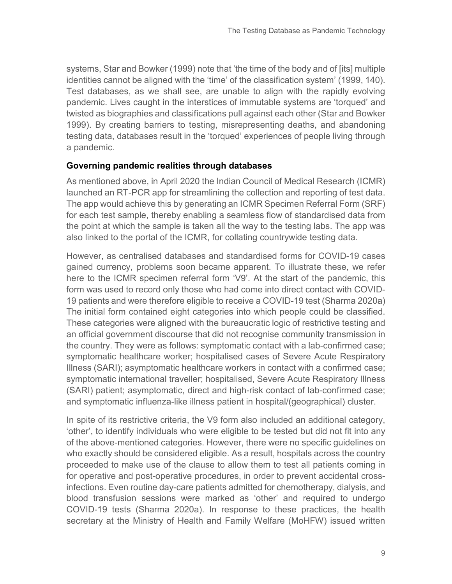systems, Star and Bowker (1999) note that 'the time of the body and of [its] multiple identities cannot be aligned with the 'time' of the classification system' (1999, 140). Test databases, as we shall see, are unable to align with the rapidly evolving pandemic. Lives caught in the interstices of immutable systems are 'torqued' and twisted as biographies and classifications pull against each other (Star and Bowker 1999). By creating barriers to testing, misrepresenting deaths, and abandoning testing data, databases result in the 'torqued' experiences of people living through a pandemic.

#### **Governing pandemic realities through databases**

As mentioned above, in April 2020 the Indian Council of Medical Research (ICMR) launched an RT-PCR app for streamlining the collection and reporting of test data. The app would achieve this by generating an ICMR Specimen Referral Form (SRF) for each test sample, thereby enabling a seamless flow of standardised data from the point at which the sample is taken all the way to the testing labs. The app was also linked to the portal of the ICMR, for collating countrywide testing data.

However, as centralised databases and standardised forms for COVID-19 cases gained currency, problems soon became apparent. To illustrate these, we refer here to the ICMR specimen referral form 'V9'. At the start of the pandemic, this form was used to record only those who had come into direct contact with COVID-19 patients and were therefore eligible to receive a COVID-19 test (Sharma 2020a) The initial form contained eight categories into which people could be classified. These categories were aligned with the bureaucratic logic of restrictive testing and an official government discourse that did not recognise community transmission in the country. They were as follows: symptomatic contact with a lab-confirmed case; symptomatic healthcare worker; hospitalised cases of Severe Acute Respiratory Illness (SARI); asymptomatic healthcare workers in contact with a confirmed case; symptomatic international traveller; hospitalised, Severe Acute Respiratory Illness (SARI) patient; asymptomatic, direct and high-risk contact of lab-confirmed case; and symptomatic influenza-like illness patient in hospital/(geographical) cluster.

In spite of its restrictive criteria, the V9 form also included an additional category, 'other', to identify individuals who were eligible to be tested but did not fit into any of the above-mentioned categories. However, there were no specific guidelines on who exactly should be considered eligible. As a result, hospitals across the country proceeded to make use of the clause to allow them to test all patients coming in for operative and post-operative procedures, in order to prevent accidental crossinfections. Even routine day-care patients admitted for chemotherapy, dialysis, and blood transfusion sessions were marked as 'other' and required to undergo COVID-19 tests (Sharma 2020a). In response to these practices, the health secretary at the Ministry of Health and Family Welfare (MoHFW) issued written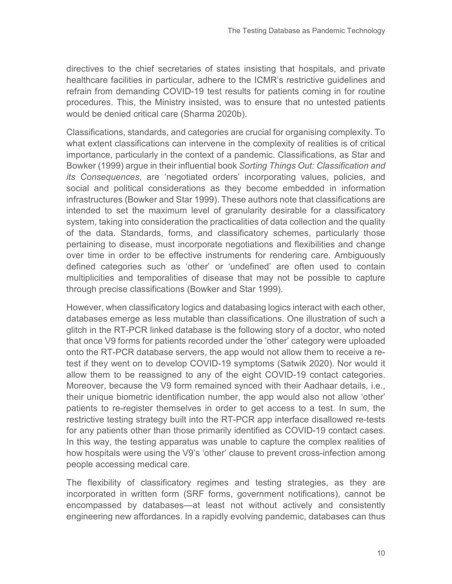directives to the chief secretaries of states insisting that hospitals, and private healthcare facilities in particular, adhere to the ICMR's restrictive guidelines and refrain from demanding COVID-19 test results for patients coming in for routine procedures. This, the Ministry insisted, was to ensure that no untested patients would be denied critical care (Sharma 2020b).

Classifications, standards, and categories are crucial for organising complexity. To what extent classifications can intervene in the complexity of realities is of critical importance, particularly in the context of a pandemic. Classifications, as Star and Bowker (1999) argue in their influential book *Sorting Things Out: Classification and its Consequences*, are 'negotiated orders' incorporating values, policies, and social and political considerations as they become embedded in information infrastructures (Bowker and Star 1999). These authors note that classifications are intended to set the maximum level of granularity desirable for a classificatory system, taking into consideration the practicalities of data collection and the quality of the data. Standards, forms, and classificatory schemes, particularly those pertaining to disease, must incorporate negotiations and flexibilities and change over time in order to be effective instruments for rendering care. Ambiguously defined categories such as 'other' or 'undefined' are often used to contain multiplicities and temporalities of disease that may not be possible to capture through precise classifications (Bowker and Star 1999).

However, when classificatory logics and databasing logics interact with each other, databases emerge as less mutable than classifications. One illustration of such a glitch in the RT-PCR linked database is the following story of a doctor, who noted that once V9 forms for patients recorded under the 'other' category were uploaded onto the RT-PCR database servers, the app would not allow them to receive a retest if they went on to develop COVID-19 symptoms (Satwik 2020). Nor would it allow them to be reassigned to any of the eight COVID-19 contact categories. Moreover, because the V9 form remained synced with their Aadhaar details, i.e., their unique biometric identification number, the app would also not allow 'other' patients to re-register themselves in order to get access to a test. In sum, the restrictive testing strategy built into the RT-PCR app interface disallowed re-tests for any patients other than those primarily identified as COVID-19 contact cases. In this way, the testing apparatus was unable to capture the complex realities of how hospitals were using the V9's 'other' clause to prevent cross-infection among people accessing medical care.

The flexibility of classificatory regimes and testing strategies, as they are incorporated in written form (SRF forms, government notifications), cannot be encompassed by databases—at least not without actively and consistently engineering new affordances. In a rapidly evolving pandemic, databases can thus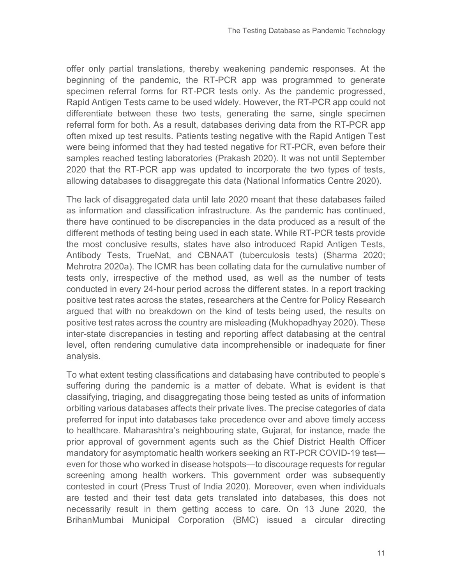offer only partial translations, thereby weakening pandemic responses. At the beginning of the pandemic, the RT-PCR app was programmed to generate specimen referral forms for RT-PCR tests only. As the pandemic progressed, Rapid Antigen Tests came to be used widely. However, the RT-PCR app could not differentiate between these two tests, generating the same, single specimen referral form for both. As a result, databases deriving data from the RT-PCR app often mixed up test results. Patients testing negative with the Rapid Antigen Test were being informed that they had tested negative for RT-PCR, even before their samples reached testing laboratories (Prakash 2020). It was not until September 2020 that the RT-PCR app was updated to incorporate the two types of tests, allowing databases to disaggregate this data (National Informatics Centre 2020).

The lack of disaggregated data until late 2020 meant that these databases failed as information and classification infrastructure. As the pandemic has continued, there have continued to be discrepancies in the data produced as a result of the different methods of testing being used in each state. While RT-PCR tests provide the most conclusive results, states have also introduced Rapid Antigen Tests, Antibody Tests, TrueNat, and CBNAAT (tuberculosis tests) (Sharma 2020; Mehrotra 2020a). The ICMR has been collating data for the cumulative number of tests only, irrespective of the method used, as well as the number of tests conducted in every 24-hour period across the different states. In a report tracking positive test rates across the states, researchers at the Centre for Policy Research argued that with no breakdown on the kind of tests being used, the results on positive test rates across the country are misleading (Mukhopadhyay 2020). These inter-state discrepancies in testing and reporting affect databasing at the central level, often rendering cumulative data incomprehensible or inadequate for finer analysis.

To what extent testing classifications and databasing have contributed to people's suffering during the pandemic is a matter of debate. What is evident is that classifying, triaging, and disaggregating those being tested as units of information orbiting various databases affects their private lives. The precise categories of data preferred for input into databases take precedence over and above timely access to healthcare. Maharashtra's neighbouring state, Gujarat, for instance, made the prior approval of government agents such as the Chief District Health Officer mandatory for asymptomatic health workers seeking an RT-PCR COVID-19 test even for those who worked in disease hotspots—to discourage requests for regular screening among health workers. This government order was subsequently contested in court (Press Trust of India 2020). Moreover, even when individuals are tested and their test data gets translated into databases, this does not necessarily result in them getting access to care. On 13 June 2020, the BrihanMumbai Municipal Corporation (BMC) issued a circular directing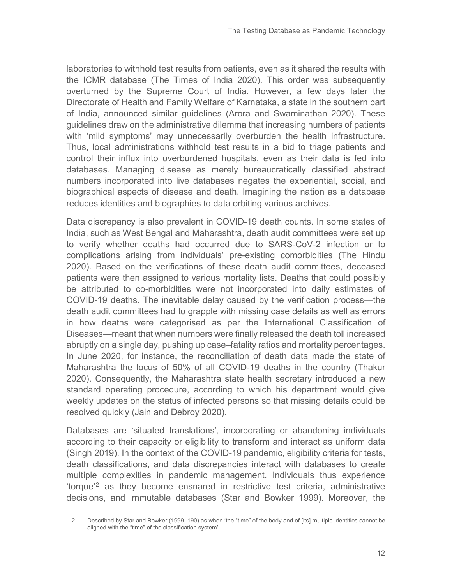laboratories to withhold test results from patients, even as it shared the results with the ICMR database (The Times of India 2020). This order was subsequently overturned by the Supreme Court of India. However, a few days later the Directorate of Health and Family Welfare of Karnataka, a state in the southern part of India, announced similar guidelines (Arora and Swaminathan 2020). These guidelines draw on the administrative dilemma that increasing numbers of patients with 'mild symptoms' may unnecessarily overburden the health infrastructure. Thus, local administrations withhold test results in a bid to triage patients and control their influx into overburdened hospitals, even as their data is fed into databases. Managing disease as merely bureaucratically classified abstract numbers incorporated into live databases negates the experiential, social, and biographical aspects of disease and death. Imagining the nation as a database reduces identities and biographies to data orbiting various archives.

Data discrepancy is also prevalent in COVID-19 death counts. In some states of India, such as West Bengal and Maharashtra, death audit committees were set up to verify whether deaths had occurred due to SARS-CoV-2 infection or to complications arising from individuals' pre-existing comorbidities (The Hindu 2020). Based on the verifications of these death audit committees, deceased patients were then assigned to various mortality lists. Deaths that could possibly be attributed to co-morbidities were not incorporated into daily estimates of COVID-19 deaths. The inevitable delay caused by the verification process—the death audit committees had to grapple with missing case details as well as errors in how deaths were categorised as per the International Classification of Diseases—meant that when numbers were finally released the death toll increased abruptly on a single day, pushing up case–fatality ratios and mortality percentages. In June 2020, for instance, the reconciliation of death data made the state of Maharashtra the locus of 50% of all COVID-19 deaths in the country (Thakur 2020). Consequently, the Maharashtra state health secretary introduced a new standard operating procedure, according to which his department would give weekly updates on the status of infected persons so that missing details could be resolved quickly (Jain and Debroy 2020).

Databases are 'situated translations', incorporating or abandoning individuals according to their capacity or eligibility to transform and interact as uniform data (Singh 2019). In the context of the COVID-19 pandemic, eligibility criteria for tests, death classifications, and data discrepancies interact with databases to create multiple complexities in pandemic management. Individuals thus experience 'torque<sup>'[2](#page-11-0)</sup> as they become ensnared in restrictive test criteria, administrative decisions, and immutable databases (Star and Bowker 1999). Moreover, the

<span id="page-11-0"></span><sup>2</sup> Described by Star and Bowker (1999, 190) as when 'the "time" of the body and of [its] multiple identities cannot be aligned with the "time" of the classification system'.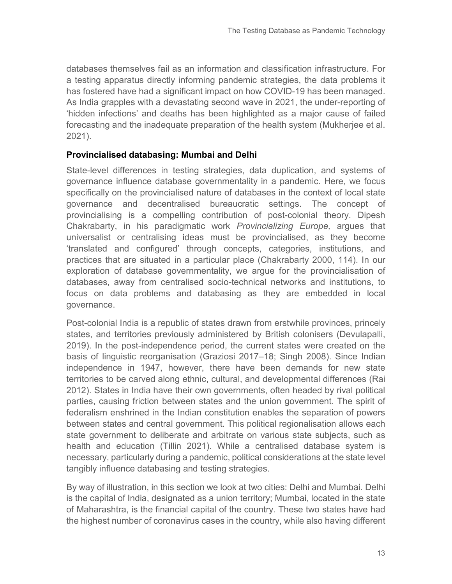databases themselves fail as an information and classification infrastructure. For a testing apparatus directly informing pandemic strategies, the data problems it has fostered have had a significant impact on how COVID-19 has been managed. As India grapples with a devastating second wave in 2021, the under-reporting of 'hidden infections' and deaths has been highlighted as a major cause of failed forecasting and the inadequate preparation of the health system (Mukherjee et al. 2021).

#### **Provincialised databasing: Mumbai and Delhi**

State-level differences in testing strategies, data duplication, and systems of governance influence database governmentality in a pandemic. Here, we focus specifically on the provincialised nature of databases in the context of local state governance and decentralised bureaucratic settings. The concept of provincialising is a compelling contribution of post-colonial theory. Dipesh Chakrabarty, in his paradigmatic work *Provincializing Europe,* argues that universalist or centralising ideas must be provincialised, as they become 'translated and configured' through concepts, categories, institutions, and practices that are situated in a particular place (Chakrabarty 2000, 114). In our exploration of database governmentality, we argue for the provincialisation of databases, away from centralised socio-technical networks and institutions, to focus on data problems and databasing as they are embedded in local governance.

Post-colonial India is a republic of states drawn from erstwhile provinces, princely states, and territories previously administered by British colonisers (Devulapalli, 2019). In the post-independence period, the current states were created on the basis of linguistic reorganisation (Graziosi 2017–18; Singh 2008). Since Indian independence in 1947, however, there have been demands for new state territories to be carved along ethnic, cultural, and developmental differences (Rai 2012). States in India have their own governments, often headed by rival political parties, causing friction between states and the union government. The spirit of federalism enshrined in the Indian constitution enables the separation of powers between states and central government. This political regionalisation allows each state government to deliberate and arbitrate on various state subjects, such as health and education (Tillin 2021). While a centralised database system is necessary, particularly during a pandemic, political considerations at the state level tangibly influence databasing and testing strategies.

By way of illustration, in this section we look at two cities: Delhi and Mumbai. Delhi is the capital of India, designated as a union territory; Mumbai, located in the state of Maharashtra, is the financial capital of the country. These two states have had the highest number of coronavirus cases in the country, while also having different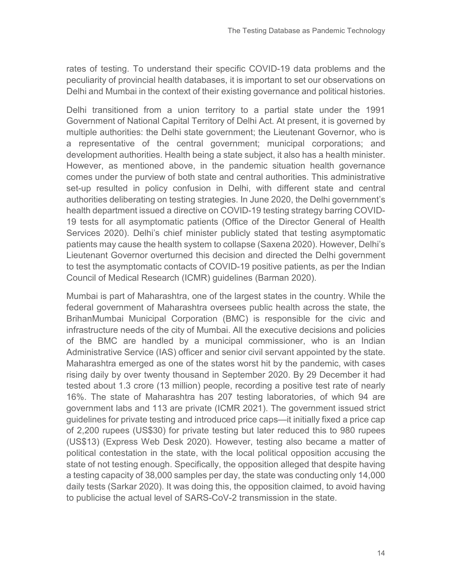rates of testing. To understand their specific COVID-19 data problems and the peculiarity of provincial health databases, it is important to set our observations on Delhi and Mumbai in the context of their existing governance and political histories.

Delhi transitioned from a union territory to a partial state under the 1991 Government of National Capital Territory of Delhi Act. At present, it is governed by multiple authorities: the Delhi state government; the Lieutenant Governor, who is a representative of the central government; municipal corporations; and development authorities. Health being a state subject, it also has a health minister. However, as mentioned above, in the pandemic situation health governance comes under the purview of both state and central authorities. This administrative set-up resulted in policy confusion in Delhi, with different state and central authorities deliberating on testing strategies. In June 2020, the Delhi government's health department issued a directive on COVID-19 testing strategy barring COVID-19 tests for all asymptomatic patients (Office of the Director General of Health Services 2020). Delhi's chief minister publicly stated that testing asymptomatic patients may cause the health system to collapse (Saxena 2020). However, Delhi's Lieutenant Governor overturned this decision and directed the Delhi government to test the asymptomatic contacts of COVID-19 positive patients, as per the Indian Council of Medical Research (ICMR) guidelines (Barman 2020).

Mumbai is part of Maharashtra, one of the largest states in the country. While the federal government of Maharashtra oversees public health across the state, the BrihanMumbai Municipal Corporation (BMC) is responsible for the civic and infrastructure needs of the city of Mumbai. All the executive decisions and policies of the BMC are handled by a municipal commissioner, who is an Indian Administrative Service (IAS) officer and senior civil servant appointed by the state. Maharashtra emerged as one of the states worst hit by the pandemic, with cases rising daily by over twenty thousand in September 2020. By 29 December it had tested about 1.3 crore (13 million) people, recording a positive test rate of nearly 16%. The state of Maharashtra has 207 testing laboratories, of which 94 are government labs and 113 are private (ICMR 2021). The government issued strict guidelines for private testing and introduced price caps—it initially fixed a price cap of 2,200 rupees (US\$30) for private testing but later reduced this to 980 rupees (US\$13) (Express Web Desk 2020). However, testing also became a matter of political contestation in the state, with the local political opposition accusing the state of not testing enough. Specifically, the opposition alleged that despite having a testing capacity of 38,000 samples per day, the state was conducting only 14,000 daily tests (Sarkar 2020). It was doing this, the opposition claimed, to avoid having to publicise the actual level of SARS-CoV-2 transmission in the state.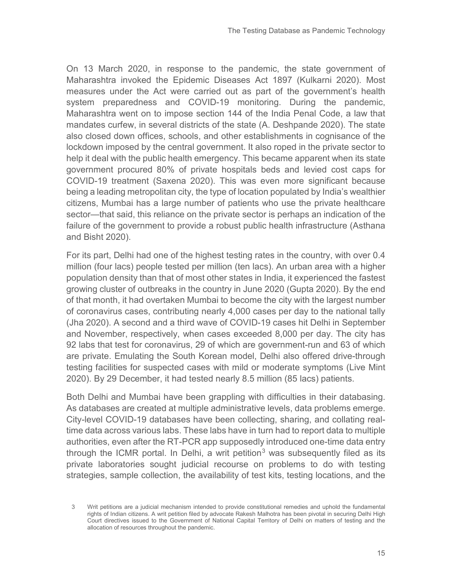On 13 March 2020, in response to the pandemic, the state government of Maharashtra invoked the Epidemic Diseases Act 1897 (Kulkarni 2020). Most measures under the Act were carried out as part of the government's health system preparedness and COVID-19 monitoring. During the pandemic, Maharashtra went on to impose section 144 of the India Penal Code, a law that mandates curfew, in several districts of the state (A. Deshpande 2020). The state also closed down offices, schools, and other establishments in cognisance of the lockdown imposed by the central government. It also roped in the private sector to help it deal with the public health emergency. This became apparent when its state government procured 80% of private hospitals beds and levied cost caps for COVID-19 treatment (Saxena 2020). This was even more significant because being a leading metropolitan city, the type of location populated by India's wealthier citizens, Mumbai has a large number of patients who use the private healthcare sector—that said, this reliance on the private sector is perhaps an indication of the failure of the government to provide a robust public health infrastructure (Asthana and Bisht 2020).

For its part, Delhi had one of the highest testing rates in the country, with over 0.4 million (four lacs) people tested per million (ten lacs). An urban area with a higher population density than that of most other states in India, it experienced the fastest growing cluster of outbreaks in the country in June 2020 (Gupta 2020). By the end of that month, it had overtaken Mumbai to become the city with the largest number of coronavirus cases, contributing nearly 4,000 cases per day to the national tally (Jha 2020). A second and a third wave of COVID-19 cases hit Delhi in September and November, respectively, when cases exceeded 8,000 per day. The city has 92 labs that test for coronavirus, 29 of which are government-run and 63 of which are private. Emulating the South Korean model, Delhi also offered drive-through testing facilities for suspected cases with mild or moderate symptoms (Live Mint 2020). By 29 December, it had tested nearly 8.5 million (85 lacs) patients.

Both Delhi and Mumbai have been grappling with difficulties in their databasing. As databases are created at multiple administrative levels, data problems emerge. City-level COVID-19 databases have been collecting, sharing, and collating realtime data across various labs. These labs have in turn had to report data to multiple authorities, even after the RT-PCR app supposedly introduced one-time data entry through the ICMR portal. In Delhi, a writ petition<sup>[3](#page-14-0)</sup> was subsequently filed as its private laboratories sought judicial recourse on problems to do with testing strategies, sample collection, the availability of test kits, testing locations, and the

<span id="page-14-0"></span><sup>3</sup> Writ petitions are a judicial mechanism intended to provide constitutional remedies and uphold the fundamental rights of Indian citizens. A writ petition filed by advocate Rakesh Malhotra has been pivotal in securing Delhi High Court directives issued to the Government of National Capital Territory of Delhi on matters of testing and the allocation of resources throughout the pandemic.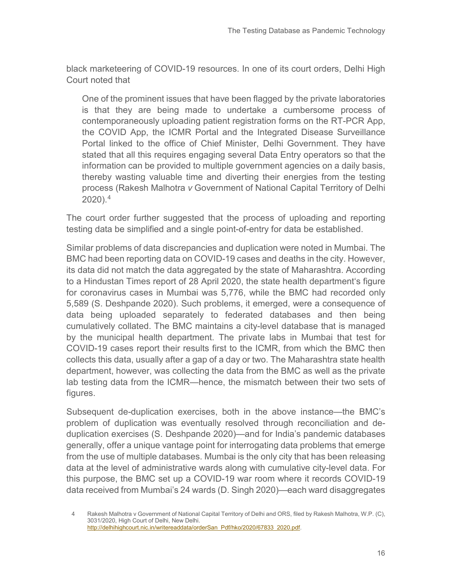black marketeering of COVID-19 resources. In one of its court orders, Delhi High Court noted that

One of the prominent issues that have been flagged by the private laboratories is that they are being made to undertake a cumbersome process of contemporaneously uploading patient registration forms on the RT-PCR App, the COVID App, the ICMR Portal and the Integrated Disease Surveillance Portal linked to the office of Chief Minister, Delhi Government. They have stated that all this requires engaging several Data Entry operators so that the information can be provided to multiple government agencies on a daily basis, thereby wasting valuable time and diverting their energies from the testing process (Rakesh Malhotra *v* Government of National Capital Territory of Delhi 2020). [4](#page-15-0)

The court order further suggested that the process of uploading and reporting testing data be simplified and a single point-of-entry for data be established.

Similar problems of data discrepancies and duplication were noted in Mumbai. The BMC had been reporting data on COVID-19 cases and deaths in the city. However, its data did not match the data aggregated by the state of Maharashtra. According to a Hindustan Times report of 28 April 2020, the state health department's figure for coronavirus cases in Mumbai was 5,776, while the BMC had recorded only 5,589 (S. Deshpande 2020). Such problems, it emerged, were a consequence of data being uploaded separately to federated databases and then being cumulatively collated. The BMC maintains a city-level database that is managed by the municipal health department. The private labs in Mumbai that test for COVID-19 cases report their results first to the ICMR, from which the BMC then collects this data, usually after a gap of a day or two. The Maharashtra state health department, however, was collecting the data from the BMC as well as the private lab testing data from the ICMR—hence, the mismatch between their two sets of figures.

Subsequent de-duplication exercises, both in the above instance—the BMC's problem of duplication was eventually resolved through reconciliation and deduplication exercises (S. Deshpande 2020)—and for India's pandemic databases generally, offer a unique vantage point for interrogating data problems that emerge from the use of multiple databases. Mumbai is the only city that has been releasing data at the level of administrative wards along with cumulative city-level data. For this purpose, the BMC set up a COVID-19 war room where it records COVID-19 data received from Mumbai's 24 wards (D. Singh 2020)—each ward disaggregates

<span id="page-15-0"></span><sup>4</sup> Rakesh Malhotra v Government of National Capital Territory of Delhi and ORS, filed by Rakesh Malhotra, W.P. (C), 3031/2020, High Court of Delhi, New Delhi. [http://delhihighcourt.nic.in/writereaddata/orderSan\\_Pdf/hko/2020/67833\\_2020.pdf.](http://delhihighcourt.nic.in/writereaddata/orderSan_Pdf/hko/2020/67833_2020.pdf)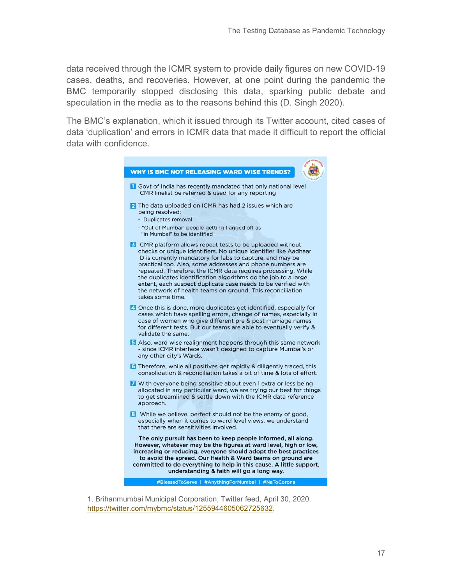data received through the ICMR system to provide daily figures on new COVID-19 cases, deaths, and recoveries. However, at one point during the pandemic the BMC temporarily stopped disclosing this data, sparking public debate and speculation in the media as to the reasons behind this (D. Singh 2020).

The BMC's explanation, which it issued through its Twitter account, cited cases of data 'duplication' and errors in ICMR data that made it difficult to report the official data with confidence.



1. Brihanmumbai Municipal Corporation, Twitter feed, April 30, 2020. [https://twitter.com/mybmc/status/1255944605062725632.](https://twitter.com/mybmc/status/1255944605062725632)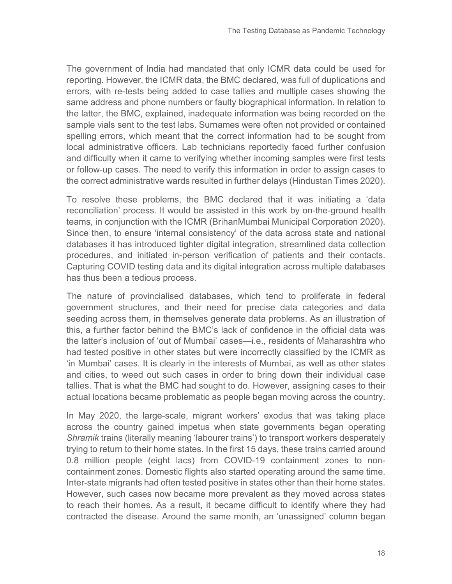The government of India had mandated that only ICMR data could be used for reporting. However, the ICMR data, the BMC declared, was full of duplications and errors, with re-tests being added to case tallies and multiple cases showing the same address and phone numbers or faulty biographical information. In relation to the latter, the BMC, explained, inadequate information was being recorded on the sample vials sent to the test labs. Surnames were often not provided or contained spelling errors, which meant that the correct information had to be sought from local administrative officers. Lab technicians reportedly faced further confusion and difficulty when it came to verifying whether incoming samples were first tests or follow-up cases. The need to verify this information in order to assign cases to the correct administrative wards resulted in further delays (Hindustan Times 2020).

To resolve these problems, the BMC declared that it was initiating a 'data reconciliation' process. It would be assisted in this work by on-the-ground health teams, in conjunction with the ICMR (BrihanMumbai Municipal Corporation 2020). Since then, to ensure 'internal consistency' of the data across state and national databases it has introduced tighter digital integration, streamlined data collection procedures, and initiated in-person verification of patients and their contacts. Capturing COVID testing data and its digital integration across multiple databases has thus been a tedious process.

The nature of provincialised databases, which tend to proliferate in federal government structures, and their need for precise data categories and data seeding across them, in themselves generate data problems. As an illustration of this, a further factor behind the BMC's lack of confidence in the official data was the latter's inclusion of 'out of Mumbai' cases—i.e., residents of Maharashtra who had tested positive in other states but were incorrectly classified by the ICMR as 'in Mumbai' cases. It is clearly in the interests of Mumbai, as well as other states and cities, to weed out such cases in order to bring down their individual case tallies. That is what the BMC had sought to do. However, assigning cases to their actual locations became problematic as people began moving across the country.

In May 2020, the large-scale, migrant workers' exodus that was taking place across the country gained impetus when state governments began operating *Shramik* trains (literally meaning 'labourer trains') to transport workers desperately trying to return to their home states. In the first 15 days, these trains carried around 0.8 million people (eight lacs) from COVID-19 containment zones to noncontainment zones. Domestic flights also started operating around the same time. Inter-state migrants had often tested positive in states other than their home states. However, such cases now became more prevalent as they moved across states to reach their homes. As a result, it became difficult to identify where they had contracted the disease. Around the same month, an 'unassigned' column began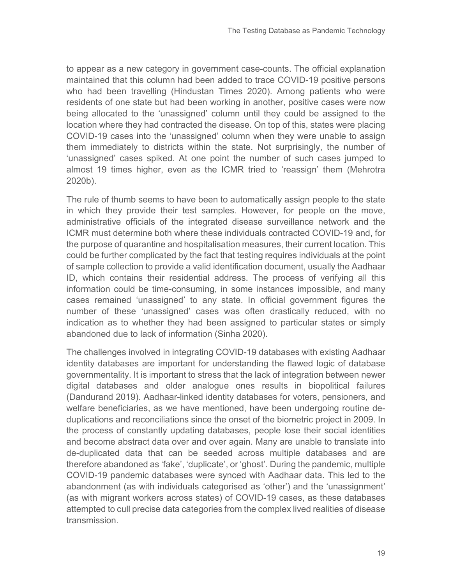to appear as a new category in government case-counts. The official explanation maintained that this column had been added to trace COVID-19 positive persons who had been travelling (Hindustan Times 2020). Among patients who were residents of one state but had been working in another, positive cases were now being allocated to the 'unassigned' column until they could be assigned to the location where they had contracted the disease. On top of this, states were placing COVID-19 cases into the 'unassigned' column when they were unable to assign them immediately to districts within the state. Not surprisingly, the number of 'unassigned' cases spiked. At one point the number of such cases jumped to almost 19 times higher, even as the ICMR tried to 'reassign' them (Mehrotra 2020b).

The rule of thumb seems to have been to automatically assign people to the state in which they provide their test samples. However, for people on the move, administrative officials of the integrated disease surveillance network and the ICMR must determine both where these individuals contracted COVID-19 and, for the purpose of quarantine and hospitalisation measures, their current location. This could be further complicated by the fact that testing requires individuals at the point of sample collection to provide a valid identification document, usually the Aadhaar ID, which contains their residential address. The process of verifying all this information could be time-consuming, in some instances impossible, and many cases remained 'unassigned' to any state. In official government figures the number of these 'unassigned' cases was often drastically reduced, with no indication as to whether they had been assigned to particular states or simply abandoned due to lack of information (Sinha 2020).

The challenges involved in integrating COVID-19 databases with existing Aadhaar identity databases are important for understanding the flawed logic of database governmentality. It is important to stress that the lack of integration between newer digital databases and older analogue ones results in biopolitical failures (Dandurand 2019). Aadhaar-linked identity databases for voters, pensioners, and welfare beneficiaries, as we have mentioned, have been undergoing routine deduplications and reconciliations since the onset of the biometric project in 2009. In the process of constantly updating databases, people lose their social identities and become abstract data over and over again. Many are unable to translate into de-duplicated data that can be seeded across multiple databases and are therefore abandoned as 'fake', 'duplicate', or 'ghost'. During the pandemic, multiple COVID-19 pandemic databases were synced with Aadhaar data. This led to the abandonment (as with individuals categorised as 'other') and the 'unassignment' (as with migrant workers across states) of COVID-19 cases, as these databases attempted to cull precise data categories from the complex lived realities of disease transmission.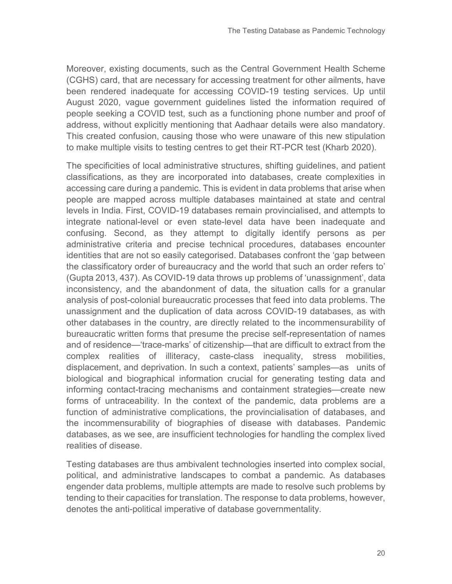Moreover, existing documents, such as the Central Government Health Scheme (CGHS) card, that are necessary for accessing treatment for other ailments, have been rendered inadequate for accessing COVID-19 testing services. Up until August 2020, vague government guidelines listed the information required of people seeking a COVID test, such as a functioning phone number and proof of address, without explicitly mentioning that Aadhaar details were also mandatory. This created confusion, causing those who were unaware of this new stipulation to make multiple visits to testing centres to get their RT-PCR test (Kharb 2020).

The specificities of local administrative structures, shifting guidelines, and patient classifications, as they are incorporated into databases, create complexities in accessing care during a pandemic. This is evident in data problems that arise when people are mapped across multiple databases maintained at state and central levels in India. First, COVID-19 databases remain provincialised, and attempts to integrate national-level or even state-level data have been inadequate and confusing. Second, as they attempt to digitally identify persons as per administrative criteria and precise technical procedures, databases encounter identities that are not so easily categorised. Databases confront the 'gap between the classificatory order of bureaucracy and the world that such an order refers to' (Gupta 2013, 437). As COVID-19 data throws up problems of 'unassignment', data inconsistency, and the abandonment of data, the situation calls for a granular analysis of post-colonial bureaucratic processes that feed into data problems. The unassignment and the duplication of data across COVID-19 databases, as with other databases in the country, are directly related to the incommensurability of bureaucratic written forms that presume the precise self-representation of names and of residence—'trace-marks' of citizenship—that are difficult to extract from the complex realities of illiteracy, caste-class inequality, stress mobilities, displacement, and deprivation. In such a context, patients' samples—as units of biological and biographical information crucial for generating testing data and informing contact-tracing mechanisms and containment strategies—create new forms of untraceability. In the context of the pandemic, data problems are a function of administrative complications, the provincialisation of databases, and the incommensurability of biographies of disease with databases. Pandemic databases, as we see, are insufficient technologies for handling the complex lived realities of disease.

Testing databases are thus ambivalent technologies inserted into complex social, political, and administrative landscapes to combat a pandemic. As databases engender data problems, multiple attempts are made to resolve such problems by tending to their capacities for translation. The response to data problems, however, denotes the anti-political imperative of database governmentality.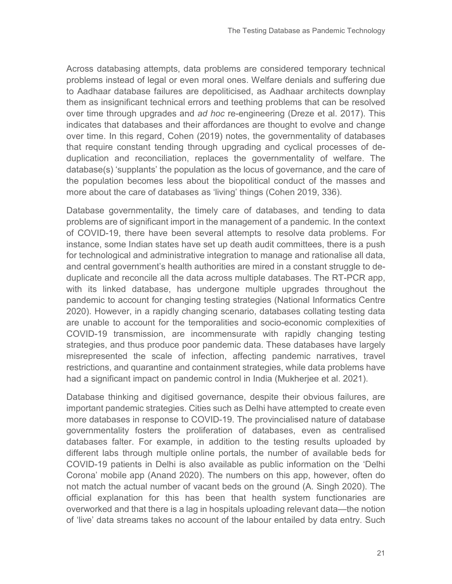Across databasing attempts, data problems are considered temporary technical problems instead of legal or even moral ones. Welfare denials and suffering due to Aadhaar database failures are depoliticised, as Aadhaar architects downplay them as insignificant technical errors and teething problems that can be resolved over time through upgrades and *ad hoc* re-engineering (Dreze et al. 2017). This indicates that databases and their affordances are thought to evolve and change over time. In this regard, Cohen (2019) notes, the governmentality of databases that require constant tending through upgrading and cyclical processes of deduplication and reconciliation, replaces the governmentality of welfare. The database(s) 'supplants' the population as the locus of governance, and the care of the population becomes less about the biopolitical conduct of the masses and more about the care of databases as 'living' things (Cohen 2019, 336).

Database governmentality, the timely care of databases, and tending to data problems are of significant import in the management of a pandemic. In the context of COVID-19, there have been several attempts to resolve data problems. For instance, some Indian states have set up death audit committees, there is a push for technological and administrative integration to manage and rationalise all data, and central government's health authorities are mired in a constant struggle to deduplicate and reconcile all the data across multiple databases. The RT-PCR app, with its linked database, has undergone multiple upgrades throughout the pandemic to account for changing testing strategies (National Informatics Centre 2020). However, in a rapidly changing scenario, databases collating testing data are unable to account for the temporalities and socio-economic complexities of COVID-19 transmission, are incommensurate with rapidly changing testing strategies, and thus produce poor pandemic data. These databases have largely misrepresented the scale of infection, affecting pandemic narratives, travel restrictions, and quarantine and containment strategies, while data problems have had a significant impact on pandemic control in India (Mukherjee et al. 2021).

Database thinking and digitised governance, despite their obvious failures, are important pandemic strategies. Cities such as Delhi have attempted to create even more databases in response to COVID-19. The provincialised nature of database governmentality fosters the proliferation of databases, even as centralised databases falter. For example, in addition to the testing results uploaded by different labs through multiple online portals, the number of available beds for COVID-19 patients in Delhi is also available as public information on the 'Delhi Corona' mobile app (Anand 2020). The numbers on this app, however, often do not match the actual number of vacant beds on the ground (A. Singh 2020). The official explanation for this has been that health system functionaries are overworked and that there is a lag in hospitals uploading relevant data—the notion of 'live' data streams takes no account of the labour entailed by data entry. Such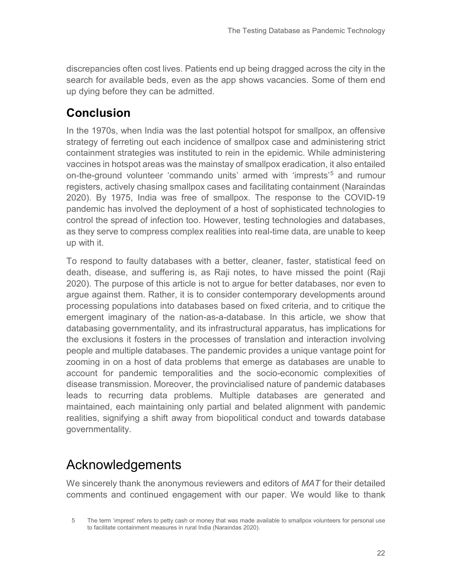discrepancies often cost lives. Patients end up being dragged across the city in the search for available beds, even as the app shows vacancies. Some of them end up dying before they can be admitted.

## **Conclusion**

In the 1970s, when India was the last potential hotspot for smallpox, an offensive strategy of ferreting out each incidence of smallpox case and administering strict containment strategies was instituted to rein in the epidemic. While administering vaccines in hotspot areas was the mainstay of smallpox eradication, it also entailed on-the-ground volunteer 'commando units' armed with 'imprests' [5](#page-21-0) and rumour registers, actively chasing smallpox cases and facilitating containment (Naraindas 2020). By 1975, India was free of smallpox. The response to the COVID-19 pandemic has involved the deployment of a host of sophisticated technologies to control the spread of infection too. However, testing technologies and databases, as they serve to compress complex realities into real-time data, are unable to keep up with it.

To respond to faulty databases with a better, cleaner, faster, statistical feed on death, disease, and suffering is, as Raji notes, to have missed the point (Raji 2020). The purpose of this article is not to argue for better databases, nor even to argue against them. Rather, it is to consider contemporary developments around processing populations into databases based on fixed criteria, and to critique the emergent imaginary of the nation-as-a-database. In this article, we show that databasing governmentality, and its infrastructural apparatus, has implications for the exclusions it fosters in the processes of translation and interaction involving people and multiple databases. The pandemic provides a unique vantage point for zooming in on a host of data problems that emerge as databases are unable to account for pandemic temporalities and the socio-economic complexities of disease transmission. Moreover, the provincialised nature of pandemic databases leads to recurring data problems. Multiple databases are generated and maintained, each maintaining only partial and belated alignment with pandemic realities, signifying a shift away from biopolitical conduct and towards database governmentality.

# Acknowledgements

We sincerely thank the anonymous reviewers and editors of *MAT* for their detailed comments and continued engagement with our paper. We would like to thank

<span id="page-21-0"></span><sup>5</sup> The term 'imprest' refers to petty cash or money that was made available to smallpox volunteers for personal use to facilitate containment measures in rural India (Naraindas 2020).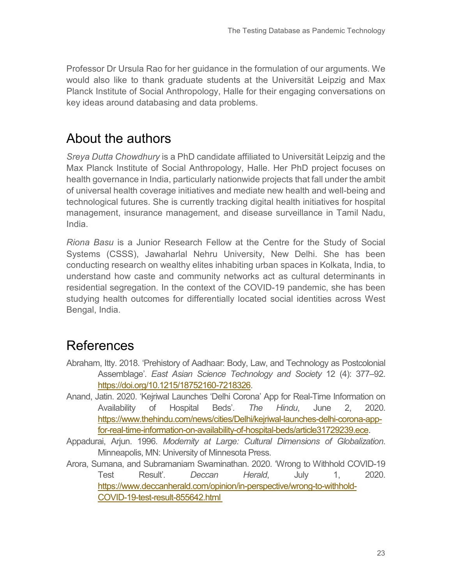Professor Dr Ursula Rao for her guidance in the formulation of our arguments. We would also like to thank graduate students at the Universität Leipzig and Max Planck Institute of Social Anthropology, Halle for their engaging conversations on key ideas around databasing and data problems.

## About the authors

*Sreya Dutta Chowdhury* is a PhD candidate affiliated to Universität Leipzig and the Max Planck Institute of Social Anthropology, Halle. Her PhD project focuses on health governance in India, particularly nationwide projects that fall under the ambit of universal health coverage initiatives and mediate new health and well-being and technological futures. She is currently tracking digital health initiatives for hospital management, insurance management, and disease surveillance in Tamil Nadu, India.

*Riona Basu* is a Junior Research Fellow at the Centre for the Study of Social Systems (CSSS), Jawaharlal Nehru University, New Delhi. She has been conducting research on wealthy elites inhabiting urban spaces in Kolkata, India, to understand how caste and community networks act as cultural determinants in residential segregation. In the context of the COVID-19 pandemic, she has been studying health outcomes for differentially located social identities across West Bengal, India.

## References

- Abraham, Itty. 2018. 'Prehistory of Aadhaar: Body, Law, and Technology as Postcolonial Assemblage'. *East Asian Science Technology and Society* 12 (4): 377–92. [https://doi.org/10.1215/18752160-7218326.](https://doi.org/10.1215/18752160-7218326)
- Anand, Jatin. 2020. 'Kejriwal Launches 'Delhi Corona' App for Real-Time Information on Availability of Hospital Beds'. *The Hindu*, June 2, 2020. [https://www.thehindu.com/news/cities/Delhi/kejriwal-launches-delhi-corona-app](https://www.thehindu.com/news/cities/Delhi/kejriwal-launches-delhi-corona-app-for-real-time-information-on-availability-of-hospital-beds/article31729239.ece)[for-real-time-information-on-availability-of-hospital-beds/article31729239.ece.](https://www.thehindu.com/news/cities/Delhi/kejriwal-launches-delhi-corona-app-for-real-time-information-on-availability-of-hospital-beds/article31729239.ece)
- Appadurai, Arjun. 1996. *Modernity at Large: Cultural Dimensions of Globalization*. Minneapolis, MN: University of Minnesota Press.
- Arora, Sumana, and Subramaniam Swaminathan. 2020. 'Wrong to Withhold COVID-19 Test Result'. *Deccan Herald*, July 1, 2020. [https://www.deccanherald.com/opinion/in-perspective/wrong-to-withhold-](https://www.deccanherald.com/opinion/in-perspective/wrong-to-withhold-covid-19-test-result-855642.html)[COVID-19-test-result-855642.html](https://www.deccanherald.com/opinion/in-perspective/wrong-to-withhold-covid-19-test-result-855642.html)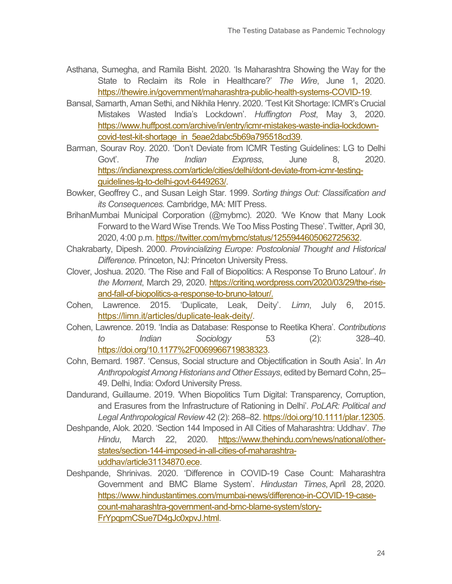- Asthana, Sumegha, and Ramila Bisht. 2020. 'Is Maharashtra Showing the Way for the State to Reclaim its Role in Healthcare?' *The Wire*, June 1, 2020. [https://thewire.in/government/maharashtra-public-health-systems-COVID-19.](https://thewire.in/government/maharashtra-public-health-systems-COVID-19)
- Bansal, Samarth, Aman Sethi, and Nikhila Henry. 2020. 'Test Kit Shortage: ICMR's Crucial Mistakes Wasted India's Lockdown'. *Huffington Post*, May 3, 2020. [https://www.huffpost.com/archive/in/entry/icmr-mistakes-waste-india-lockdown](https://www.huffpost.com/archive/in/entry/icmr-mistakes-waste-india-lockdown-covid-test-kit-shortage_in_5eae2dabc5b69a795518cd39)[covid-test-kit-shortage\\_in\\_5eae2dabc5b69a795518cd39.](https://www.huffpost.com/archive/in/entry/icmr-mistakes-waste-india-lockdown-covid-test-kit-shortage_in_5eae2dabc5b69a795518cd39)
- Barman, Sourav Roy. 2020. 'Don't Deviate from ICMR Testing Guidelines: LG to Delhi Govt'. *The Indian Express*, June 8, 2020. [https://indianexpress.com/article/cities/delhi/dont-deviate-from-icmr-testing](https://indianexpress.com/article/cities/delhi/dont-deviate-from-icmr-testing-guidelines-lg-to-delhi-govt-6449263/)[guidelines-lg-to-delhi-govt-6449263/.](https://indianexpress.com/article/cities/delhi/dont-deviate-from-icmr-testing-guidelines-lg-to-delhi-govt-6449263/)
- Bowker, Geoffrey C., and Susan Leigh Star. 1999. *Sorting things Out: Classification and its Consequences.* Cambridge, MA: MIT Press.
- BrihanMumbai Municipal Corporation (@mybmc). 2020. 'We Know that Many Look Forward to the Ward Wise Trends. We Too Miss Posting These'. Twitter, April 30, 2020, 4:00 p.m[. https://twitter.com/mybmc/status/1255944605062725632.](https://twitter.com/mybmc/status/1255944605062725632)
- Chakrabarty, Dipesh. 2000. *Provincializing Europe: Postcolonial Thought and Historical Difference.* Princeton, NJ: Princeton University Press.
- Clover, Joshua. 2020. 'The Rise and Fall of Biopolitics: A Response To Bruno Latour'. *In the Moment*, March 29, 2020. [https://critinq.wordpress.com/2020/03/29/the-rise](https://critinq.wordpress.com/2020/03/29/the-rise-and-fall-of-biopolitics-a-response-to-bruno-latour/)[and-fall-of-biopolitics-a-response-to-bruno-latour/.](https://critinq.wordpress.com/2020/03/29/the-rise-and-fall-of-biopolitics-a-response-to-bruno-latour/)
- Cohen, Lawrence. 2015. 'Duplicate, Leak, Deity'. *Limn*, July 6, 2015. [https://limn.it/articles/duplicate-leak-deity/.](https://limn.it/articles/duplicate-leak-deity/)
- Cohen, Lawrence. 2019. 'India as Database: Response to Reetika Khera'. *Contributions to Indian Sociology* 53 (2): 328–40. [https://doi.org/10.1177%2F0069966719838323.](https://doi.org/10.1177%2F0069966719838323)
- Cohn, Bernard. 1987. 'Census, Social structure and Objectification in South Asia'. In *An Anthropologist Among Historians and Other Essays*, edited by Bernard Cohn, 25– 49. Delhi, India: Oxford University Press.
- Dandurand, Guillaume. 2019. 'When Biopolitics Turn Digital: Transparency, Corruption, and Erasures from the Infrastructure of Rationing in Delhi'. *PoLAR: Political and Legal Anthropological Review* 42 (2): 268–82. [https://doi.org/10.1111/plar.12305.](https://doi.org/10.1111/plar.12305)
- Deshpande, Alok. 2020. 'Section 144 Imposed in All Cities of Maharashtra: Uddhav'. *The Hindu*, March 22, 2020. [https://www.thehindu.com/news/national/other](https://www.thehindu.com/news/national/other-states/section-144-imposed-in-all-cities-of-maharashtra-uddhav/article31134870.ece)[states/section-144-imposed-in-all-cities-of-maharashtra](https://www.thehindu.com/news/national/other-states/section-144-imposed-in-all-cities-of-maharashtra-uddhav/article31134870.ece)[uddhav/article31134870.ece.](https://www.thehindu.com/news/national/other-states/section-144-imposed-in-all-cities-of-maharashtra-uddhav/article31134870.ece)
- Deshpande, Shrinivas. 2020. 'Difference in COVID-19 Case Count: Maharashtra Government and BMC Blame System'. *Hindustan Times*, April 28, 2020. [https://www.hindustantimes.com/mumbai-news/difference-in-COVID-19-case](https://www.hindustantimes.com/mumbai-news/difference-in-COVID-19-case-count-maharashtra-government-and-bmc-blame-system/story-FrYpqpmCSue7D4gJc0xpvJ.html)[count-maharashtra-government-and-bmc-blame-system/story-](https://www.hindustantimes.com/mumbai-news/difference-in-COVID-19-case-count-maharashtra-government-and-bmc-blame-system/story-FrYpqpmCSue7D4gJc0xpvJ.html)[FrYpqpmCSue7D4gJc0xpvJ.html.](https://www.hindustantimes.com/mumbai-news/difference-in-COVID-19-case-count-maharashtra-government-and-bmc-blame-system/story-FrYpqpmCSue7D4gJc0xpvJ.html)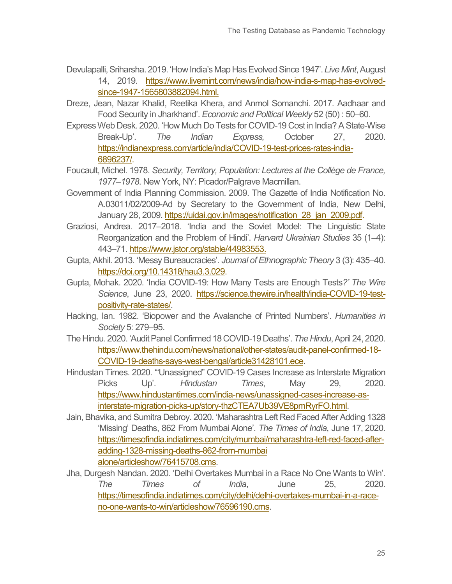- Devulapalli, Sriharsha. 2019. 'How India's Map Has Evolved Since 1947'. *Live Mint*, August 14, 2019. [https://www.livemint.com/news/india/how-india-s-map-has-evolved](https://www.livemint.com/news/india/how-india-s-map-has-evolved-since-1947-1565803882094.html)[since-1947-1565803882094.html.](https://www.livemint.com/news/india/how-india-s-map-has-evolved-since-1947-1565803882094.html)
- Dreze, Jean, Nazar Khalid, Reetika Khera, and Anmol Somanchi. 2017. Aadhaar and Food Security in Jharkhand'. *Economic and Political Weekly* 52 (50) : 50–60.
- Express Web Desk. 2020. 'How Much Do Tests for COVID-19 Cost in India? A State-Wise Break-Up'. *The Indian Express,* October 27, 2020. [https://indianexpress.com/article/india/COVID-19-test-prices-rates-india-](https://indianexpress.com/article/india/COVID-19-test-prices-rates-india-6896237/)[6896237/.](https://indianexpress.com/article/india/COVID-19-test-prices-rates-india-6896237/)
- Foucault, Michel. 1978. *Security, Territory, Population: Lectures at the Collège de France, 1977–1978*. New York, NY: Picador/Palgrave Macmillan.
- Government of India Planning Commission. 2009. The Gazette of India Notification No. A.03011/02/2009-Ad by Secretary to the Government of India, New Delhi, January 28, 2009. [https://uidai.gov.in/images/notification\\_28\\_jan\\_2009.pdf.](https://uidai.gov.in/images/notification_28_jan_2009.pdf)
- Graziosi, Andrea. 2017–2018. 'India and the Soviet Model: The Linguistic State Reorganization and the Problem of Hindi'. *Harvard Ukrainian Studies* 35 (1–4): 443–71[. https://www.jstor.org/stable/44983553.](https://www.jstor.org/stable/44983553)
- Gupta, Akhil. 2013. 'Messy Bureaucracies'. *Journal of Ethnographic Theory* 3 (3): 435–40. [https://doi.org/10.14318/hau3.3.029.](https://doi.org/10.14318/hau3.3.029)
- Gupta, Mohak. 2020. 'India COVID-19: How Many Tests are Enough Tests*?' The Wire Science*, June 23, 2020. [https://science.thewire.in/health/india-COVID-19-test](https://science.thewire.in/health/india-COVID-19-test-positivity-rate-states/)[positivity-rate-states/.](https://science.thewire.in/health/india-COVID-19-test-positivity-rate-states/)
- Hacking, Ian. 1982. 'Biopower and the Avalanche of Printed Numbers'. *Humanities in Society* 5: 279–95.
- The Hindu. 2020. 'Audit Panel Confirmed 18 COVID-19 Deaths'. *The Hindu*, April 24, 2020. [https://www.thehindu.com/news/national/other-states/audit-panel-confirmed-18-](https://www.thehindu.com/news/national/other-states/audit-panel-confirmed-18-COVID-19-deaths-says-west-bengal/article31428101.ece) [COVID-19-deaths-says-west-bengal/article31428101.ece.](https://www.thehindu.com/news/national/other-states/audit-panel-confirmed-18-COVID-19-deaths-says-west-bengal/article31428101.ece)
- Hindustan Times. 2020. '"Unassigned" COVID-19 Cases Increase as Interstate Migration Picks Up'. *Hindustan Times*, May 29, 2020. [https://www.hindustantimes.com/india-news/unassigned-cases-increase-as](https://www.hindustantimes.com/india-news/unassigned-cases-increase-as-interstate-migration-picks-up/story-thzCTEA7Ub39VE8pmRyrFO.html)[interstate-migration-picks-up/story-thzCTEA7Ub39VE8pmRyrFO.html.](https://www.hindustantimes.com/india-news/unassigned-cases-increase-as-interstate-migration-picks-up/story-thzCTEA7Ub39VE8pmRyrFO.html)
- Jain, Bhavika, and Sumitra Debroy. 2020. 'Maharashtra Left Red Faced After Adding 1328 'Missing' Deaths, 862 From Mumbai Alone'. *The Times of India*, June 17, 2020. [https://timesofindia.indiatimes.com/city/mumbai/maharashtra-left-red-faced-after](https://timesofindia.indiatimes.com/city/mumbai/maharashtra-left-red-faced-after-adding-1328-missing-deaths-862-from-mumbai%20alone/articleshow/76415708.cms)[adding-1328-missing-deaths-862-from-mumbai](https://timesofindia.indiatimes.com/city/mumbai/maharashtra-left-red-faced-after-adding-1328-missing-deaths-862-from-mumbai%20alone/articleshow/76415708.cms)  [alone/articleshow/76415708.cms.](https://timesofindia.indiatimes.com/city/mumbai/maharashtra-left-red-faced-after-adding-1328-missing-deaths-862-from-mumbai%20alone/articleshow/76415708.cms)
- Jha, Durgesh Nandan. 2020. 'Delhi Overtakes Mumbai in a Race No One Wants to Win'. *The Times of India*, June 25, 2020. [https://timesofindia.indiatimes.com/city/delhi/delhi-overtakes-mumbai-in-a-race](https://timesofindia.indiatimes.com/city/delhi/delhi-overtakes-mumbai-in-a-race-no-one-wants-to-win/articleshow/76596190.cms)[no-one-wants-to-win/articleshow/76596190.cms.](https://timesofindia.indiatimes.com/city/delhi/delhi-overtakes-mumbai-in-a-race-no-one-wants-to-win/articleshow/76596190.cms)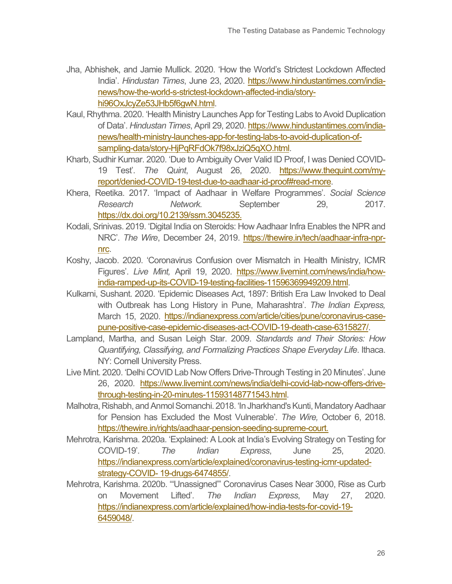- Jha, Abhishek, and Jamie Mullick. 2020. 'How the World's Strictest Lockdown Affected India'. *Hindustan Times*, June 23, 2020. [https://www.hindustantimes.com/india](https://www.hindustantimes.com/india-news/how-the-world-s-strictest-lockdown-affected-india/story-hi96OxJcyZe53JHb5f6gwN.html)[news/how-the-world-s-strictest-lockdown-affected-india/story](https://www.hindustantimes.com/india-news/how-the-world-s-strictest-lockdown-affected-india/story-hi96OxJcyZe53JHb5f6gwN.html)[hi96OxJcyZe53JHb5f6gwN.html.](https://www.hindustantimes.com/india-news/how-the-world-s-strictest-lockdown-affected-india/story-hi96OxJcyZe53JHb5f6gwN.html)
- Kaul, Rhythma. 2020. 'Health Ministry Launches App for Testing Labs to Avoid Duplication of Data'. *Hindustan Times*, April 29, 2020. [https://www.hindustantimes.com/india](https://www.hindustantimes.com/india-news/health-ministry-launches-app-for-testing-labs-to-avoid-duplication-of-sampling-data/story-HjPqRFdOk7f98xJziQ5qXO.html)[news/health-ministry-launches-app-for-testing-labs-to-avoid-duplication-of](https://www.hindustantimes.com/india-news/health-ministry-launches-app-for-testing-labs-to-avoid-duplication-of-sampling-data/story-HjPqRFdOk7f98xJziQ5qXO.html)[sampling-data/story-HjPqRFdOk7f98xJziQ5qXO.html.](https://www.hindustantimes.com/india-news/health-ministry-launches-app-for-testing-labs-to-avoid-duplication-of-sampling-data/story-HjPqRFdOk7f98xJziQ5qXO.html)
- Kharb, Sudhir Kumar. 2020. 'Due to Ambiguity Over Valid ID Proof, I was Denied COVID-19 Test'. *The Quint*, August 26, 2020. [https://www.thequint.com/my](https://www.thequint.com/my-report/denied-COVID-19-test-due-to-aadhaar-id-proof#read-more)[report/denied-COVID-19-test-due-to-aadhaar-id-proof#read-more.](https://www.thequint.com/my-report/denied-COVID-19-test-due-to-aadhaar-id-proof#read-more)
- Khera, Reetika. 2017. 'Impact of Aadhaar in Welfare Programmes'. *Social Science Research Network.* September 29, 2017. [https://dx.doi.org/10.2139/ssrn.3045235.](https://dx.doi.org/10.2139/ssrn.3045235)
- Kodali, Srinivas. 2019. 'Digital India on Steroids: How Aadhaar Infra Enables the NPR and NRC'. *The Wire*, December 24, 2019. [https://thewire.in/tech/aadhaar-infra-npr](https://thewire.in/tech/aadhaar-infra-npr-nrc)[nrc.](https://thewire.in/tech/aadhaar-infra-npr-nrc)
- Koshy, Jacob. 2020. 'Coronavirus Confusion over Mismatch in Health Ministry, ICMR Figures'. *Live Mint,* April 19, 2020. [https://www.livemint.com/news/india/how](https://www.livemint.com/news/india/how-india-ramped-up-its-COVID-19-testing-facilities-11596369949209.html)[india-ramped-up-its-COVID-19-testing-facilities-11596369949209.html.](https://www.livemint.com/news/india/how-india-ramped-up-its-COVID-19-testing-facilities-11596369949209.html)
- Kulkarni, Sushant. 2020. 'Epidemic Diseases Act, 1897: British Era Law Invoked to Deal with Outbreak has Long History in Pune, Maharashtra'. *The Indian Express,*  March 15, 2020. [https://indianexpress.com/article/cities/pune/coronavirus-case](https://indianexpress.com/article/cities/pune/coronavirus-case-pune-positive-case-epidemic-diseases-act-COVID-19-death-case-6315827/)[pune-positive-case-epidemic-diseases-act-COVID-19-death-case-6315827/.](https://indianexpress.com/article/cities/pune/coronavirus-case-pune-positive-case-epidemic-diseases-act-COVID-19-death-case-6315827/)
- Lampland, Martha, and Susan Leigh Star. 2009. *Standards and Their Stories: How Quantifying, Classifying, and Formalizing Practices Shape Everyday Life*. Ithaca. NY: Cornell University Press.
- Live Mint. 2020. 'Delhi COVID Lab Now Offers Drive-Through Testing in 20 Minutes'. June 26, 2020. [https://www.livemint.com/news/india/delhi-covid-lab-now-offers-drive](https://www.livemint.com/news/india/delhi-covid-lab-now-offers-drive-through-testing-in-20-minutes-11593148771543.html)[through-testing-in-20-minutes-11593148771543.html.](https://www.livemint.com/news/india/delhi-covid-lab-now-offers-drive-through-testing-in-20-minutes-11593148771543.html)
- Malhotra, Rishabh, and Anmol Somanchi. 2018. 'In Jharkhand's Kunti, Mandatory Aadhaar for Pension has Excluded the Most Vulnerable'. *The Wire,* October 6, 2018. [https://thewire.in/rights/aadhaar-pension-seeding-supreme-court.](https://thewire.in/rights/aadhaar-pension-seeding-supreme-court)
- Mehrotra, Karishma. 2020a. 'Explained: A Look at India's Evolving Strategy on Testing for COVID-19'. *The Indian Express*, June 25, 2020. [https://indianexpress.com/article/explained/coronavirus-testing-icmr-updated](https://indianexpress.com/article/explained/coronavirus-testing-icmr-updated-strategy-COVID-%2019-drugs-6474855/)strategy-COVID- [19-drugs-6474855/.](https://indianexpress.com/article/explained/coronavirus-testing-icmr-updated-strategy-COVID-%2019-drugs-6474855/)
- Mehrotra, Karishma. 2020b. '"Unassigned"' Coronavirus Cases Near 3000, Rise as Curb on Movement Lifted'. *The Indian Express*, May 27, 2020. [https://indianexpress.com/article/explained/how-india-tests-for-covid-19-](https://indianexpress.com/article/explained/how-india-tests-for-covid-19-6459048/) [6459048/.](https://indianexpress.com/article/explained/how-india-tests-for-covid-19-6459048/)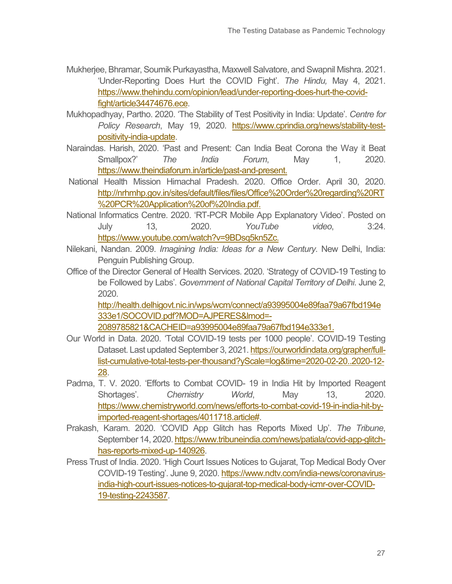- Mukherjee, Bhramar, Soumik Purkayastha, Maxwell Salvatore, and Swapnil Mishra. 2021. 'Under-Reporting Does Hurt the COVID Fight'. *The Hindu,* May 4, 2021. [https://www.thehindu.com/opinion/lead/under-reporting-does-hurt-the-covid](https://www.thehindu.com/opinion/lead/under-reporting-does-hurt-the-covid-fight/article34474676.ece)[fight/article34474676.ece.](https://www.thehindu.com/opinion/lead/under-reporting-does-hurt-the-covid-fight/article34474676.ece)
- Mukhopadhyay, Partho. 2020. 'The Stability of Test Positivity in India: Update'. *Centre for Policy Research*, May 19, 2020. [https://www.cprindia.org/news/stability-test](https://www.cprindia.org/news/stability-test-positivity-india-update)[positivity-india-update.](https://www.cprindia.org/news/stability-test-positivity-india-update)
- Naraindas. Harish, 2020. 'Past and Present: Can India Beat Corona the Way it Beat Smallpox?' *The India Forum*, May 1, 2020. [https://www.theindiaforum.in/article/past-and-present.](https://www.theindiaforum.in/article/past-and-present)
- National Health Mission Himachal Pradesh. 2020. Office Order. April 30, 2020. [http://nrhmhp.gov.in/sites/default/files/files/Office%20Order%20regarding%20RT](http://nrhmhp.gov.in/sites/default/files/files/Office%20Order%20regarding%20RT%20PCR%20Application%20of%20India.pdf) [%20PCR%20Application%20of%20India.pdf.](http://nrhmhp.gov.in/sites/default/files/files/Office%20Order%20regarding%20RT%20PCR%20Application%20of%20India.pdf)
- National Informatics Centre. 2020. 'RT-PCR Mobile App Explanatory Video'. Posted on July 13, 2020. *YouTube video*, 3:24. [https://www.youtube.com/watch?v=9BDsq5kn5Zc.](https://www.youtube.com/watch?v=9BDsq5kn5Zc)
- Nilekani, Nandan. 2009. *Imagining India: Ideas for a New Century*. New Delhi, India: Penguin Publishing Group.
- Office of the Director General of Health Services. 2020. 'Strategy of COVID-19 Testing to be Followed by Labs'. *Government of National Capital Territory of Delhi*. June 2, 2020.

[http://health.delhigovt.nic.in/wps/wcm/connect/a93995004e89faa79a67fbd194e](http://health.delhigovt.nic.in/wps/wcm/connect/a93995004e89faa79a67fbd194e333e1/SOCOVID.pdf?MOD=AJPERES&lmod=-2089785821&CACHEID=a93995004e89faa79a67fbd194e333e1) [333e1/SOCOVID.pdf?MOD=AJPERES&lmod=-](http://health.delhigovt.nic.in/wps/wcm/connect/a93995004e89faa79a67fbd194e333e1/SOCOVID.pdf?MOD=AJPERES&lmod=-2089785821&CACHEID=a93995004e89faa79a67fbd194e333e1)

[2089785821&CACHEID=a93995004e89faa79a67fbd194e333e1.](http://health.delhigovt.nic.in/wps/wcm/connect/a93995004e89faa79a67fbd194e333e1/SOCOVID.pdf?MOD=AJPERES&lmod=-2089785821&CACHEID=a93995004e89faa79a67fbd194e333e1)

- Our World in Data. 2020. 'Total COVID-19 tests per 1000 people'. COVID-19 Testing Dataset. Last updated September 3, 2021[. https://ourworldindata.org/grapher/full](https://ourworldindata.org/grapher/full-list-cumulative-total-tests-per-thousand?yScale=log&time=2020-02-20..2020-12-28)[list-cumulative-total-tests-per-thousand?yScale=log&time=2020-02-20..2020-12-](https://ourworldindata.org/grapher/full-list-cumulative-total-tests-per-thousand?yScale=log&time=2020-02-20..2020-12-28) [28.](https://ourworldindata.org/grapher/full-list-cumulative-total-tests-per-thousand?yScale=log&time=2020-02-20..2020-12-28)
- Padma, T. V. 2020. 'Efforts to Combat COVID- 19 in India Hit by Imported Reagent Shortages'. *Chemistry World*, May 13, 2020. [https://www.chemistryworld.com/news/efforts-to-combat-covid-19-in-india-hit-by](https://www.chemistryworld.com/news/efforts-to-combat-covid-19-in-india-hit-by-imported-reagent-shortages/4011718.article)[imported-reagent-shortages/4011718.article#.](https://www.chemistryworld.com/news/efforts-to-combat-covid-19-in-india-hit-by-imported-reagent-shortages/4011718.article)
- Prakash, Karam. 2020. 'COVID App Glitch has Reports Mixed Up'. *The Tribune*, September 14, 2020. [https://www.tribuneindia.com/news/patiala/covid-app-glitch](https://www.tribuneindia.com/news/patiala/covid-app-glitch-has-reports-mixed-up-140926)[has-reports-mixed-up-140926.](https://www.tribuneindia.com/news/patiala/covid-app-glitch-has-reports-mixed-up-140926)
- Press Trust of India. 2020. 'High Court Issues Notices to Gujarat, Top Medical Body Over COVID-19 Testing'. June 9, 2020. [https://www.ndtv.com/india-news/coronavirus](https://www.ndtv.com/india-news/coronavirus-india-high-court-issues-notices-to-gujarat-top-medical-body-icmr-over-COVID-19-testing-2243587)[india-high-court-issues-notices-to-gujarat-top-medical-body-icmr-over-COVID-](https://www.ndtv.com/india-news/coronavirus-india-high-court-issues-notices-to-gujarat-top-medical-body-icmr-over-COVID-19-testing-2243587)[19-testing-2243587.](https://www.ndtv.com/india-news/coronavirus-india-high-court-issues-notices-to-gujarat-top-medical-body-icmr-over-COVID-19-testing-2243587)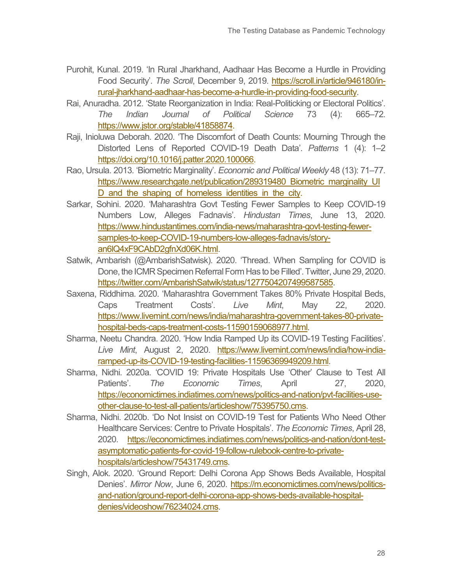- Purohit, Kunal. 2019. 'In Rural Jharkhand, Aadhaar Has Become a Hurdle in Providing Food Security'. *The Scroll*, December 9, 2019. [https://scroll.in/article/946180/in](https://scroll.in/article/946180/in-rural-jharkhand-aadhaar-has-become-a-hurdle-in-providing-food-security)[rural-jharkhand-aadhaar-has-become-a-hurdle-in-providing-food-security.](https://scroll.in/article/946180/in-rural-jharkhand-aadhaar-has-become-a-hurdle-in-providing-food-security)
- Rai, Anuradha. 2012. 'State Reorganization in India: Real-Politicking or Electoral Politics'. *The Indian Journal of Political Science* 73 (4): 665–72. [https://www.jstor.org/stable/41858874.](https://www.jstor.org/stable/41858874)
- Raji, Inioluwa Deborah. 2020. 'The Discomfort of Death Counts: Mourning Through the Distorted Lens of Reported COVID-19 Death Data'. *Patterns* 1 (4): 1–2 [https://doi.org/10.1016/j.patter.2020.100066.](https://doi.org/10.1016/j.patter.2020.100066)
- Rao, Ursula. 2013. 'Biometric Marginality'. *Economic and Political Weekly* 48 (13): 71–77. [https://www.researchgate.net/publication/289319480\\_Biometric\\_marginality\\_UI](https://www.researchgate.net/publication/289319480_Biometric_marginality_UID_and_the_shaping_of_homeless_identities_in_the_city) D and the shaping of homeless identities in the city.
- Sarkar, Sohini. 2020. 'Maharashtra Govt Testing Fewer Samples to Keep COVID-19 Numbers Low, Alleges Fadnavis'. *Hindustan Times*, June 13, 2020. [https://www.hindustantimes.com/india-news/maharashtra-govt-testing-fewer](https://www.hindustantimes.com/india-news/maharashtra-govt-testing-fewer-samples-to-keep-COVID-19-numbers-low-alleges-fadnavis/story-an6lQ4xF9CAbD2gfnXd06K.html)[samples-to-keep-COVID-19-numbers-low-alleges-fadnavis/story](https://www.hindustantimes.com/india-news/maharashtra-govt-testing-fewer-samples-to-keep-COVID-19-numbers-low-alleges-fadnavis/story-an6lQ4xF9CAbD2gfnXd06K.html)[an6lQ4xF9CAbD2gfnXd06K.html.](https://www.hindustantimes.com/india-news/maharashtra-govt-testing-fewer-samples-to-keep-COVID-19-numbers-low-alleges-fadnavis/story-an6lQ4xF9CAbD2gfnXd06K.html)
- Satwik, Ambarish (@AmbarishSatwisk). 2020. 'Thread. When Sampling for COVID is Done, the ICMR Specimen Referral Form Has to be Filled'. Twitter, June 29, 2020. [https://twitter.com/AmbarishSatwik/status/1277504207499587585.](https://twitter.com/AmbarishSatwik/status/1277504207499587585)
- Saxena, Riddhima. 2020. 'Maharashtra Government Takes 80% Private Hospital Beds, Caps Treatment Costs'. *Live Mint*, May 22, 2020. [https://www.livemint.com/news/india/maharashtra-government-takes-80-private](https://www.livemint.com/news/india/maharashtra-government-takes-80-private-hospital-beds-caps-treatment-costs-11590159068977.html)[hospital-beds-caps-treatment-costs-11590159068977.html.](https://www.livemint.com/news/india/maharashtra-government-takes-80-private-hospital-beds-caps-treatment-costs-11590159068977.html)
- Sharma, Neetu Chandra. 2020. 'How India Ramped Up its COVID-19 Testing Facilities'. *Live Mint*, August 2, 2020. [https://www.livemint.com/news/india/how-india](https://www.livemint.com/news/india/how-india-ramped-up-its-COVID-19-testing-facilities-11596369949209.html)[ramped-up-its-COVID-19-testing-facilities-11596369949209.html.](https://www.livemint.com/news/india/how-india-ramped-up-its-COVID-19-testing-facilities-11596369949209.html)
- Sharma, Nidhi. 2020a. 'COVID 19: Private Hospitals Use 'Other' Clause to Test All Patients'. *The Economic Times*, April 27, 2020, [https://economictimes.indiatimes.com/news/politics-and-nation/pvt-facilities-use](https://economictimes.indiatimes.com/news/politics-and-nation/pvt-facilities-use-other-clause-to-test-all-patients/articleshow/75395750.cms)[other-clause-to-test-all-patients/articleshow/75395750.cms.](https://economictimes.indiatimes.com/news/politics-and-nation/pvt-facilities-use-other-clause-to-test-all-patients/articleshow/75395750.cms)
- Sharma, Nidhi. 2020b. 'Do Not Insist on COVID-19 Test for Patients Who Need Other Healthcare Services: Centre to Private Hospitals'. *The Economic Times*, April 28, 2020. [https://economictimes.indiatimes.com/news/politics-and-nation/dont-test](https://economictimes.indiatimes.com/news/politics-and-nation/dont-test-asymptomatic-patients-for-covid-19-follow-rulebook-centre-to-private-hospitals/articleshow/75431749.cms)[asymptomatic-patients-for-covid-19-follow-rulebook-centre-to-private](https://economictimes.indiatimes.com/news/politics-and-nation/dont-test-asymptomatic-patients-for-covid-19-follow-rulebook-centre-to-private-hospitals/articleshow/75431749.cms)[hospitals/articleshow/75431749.cms.](https://economictimes.indiatimes.com/news/politics-and-nation/dont-test-asymptomatic-patients-for-covid-19-follow-rulebook-centre-to-private-hospitals/articleshow/75431749.cms)
- Singh, Alok. 2020. 'Ground Report: Delhi Corona App Shows Beds Available, Hospital Denies'. *Mirror Now*, June 6, 2020. [https://m.economictimes.com/news/politics](https://m.economictimes.com/news/politics-and-nation/ground-report-delhi-corona-app-shows-beds-available-hospital-denies/videoshow/76234024.cms)[and-nation/ground-report-delhi-corona-app-shows-beds-available-hospital](https://m.economictimes.com/news/politics-and-nation/ground-report-delhi-corona-app-shows-beds-available-hospital-denies/videoshow/76234024.cms)[denies/videoshow/76234024.cms.](https://m.economictimes.com/news/politics-and-nation/ground-report-delhi-corona-app-shows-beds-available-hospital-denies/videoshow/76234024.cms)